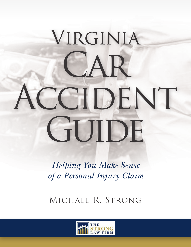# VIRGINIA  $\triangle R$ CCIDENT GUIDE

*Helping You Make Sense of a Personal Injury Claim*

Michael R. Strong

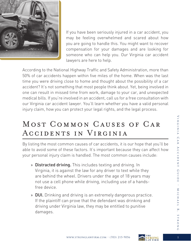

If you have been seriously injured in a car accident, you may be feeling overwhelmed and scared about how you are going to handle this. You might want to recover compensation for your damages and are looking for someone who can help you. Our Virginia car accident lawyers are here to help.

According to the National Highway Traffic and Safety Administration, more than 50% of car accidents happen within five miles of the home. When was the last time you were driving close to home and thought about the possibility of a car accident? It's not something that most people think about. Yet, being involved in one can result in missed time from work, damage to your car, and unexpected medical bills. If you're involved in an accident, call us for a free consultation with our Virginia car accident lawyer. You'll learn whether you have a valid personal injury claim, how you can protect your legal rights, and the legal process.

# Most Common Causes of Car Accidents in Virginia

By listing the most common causes of car accidents, it is our hope that you'll be able to avoid some of these factors. It's important because they can affect how your personal injury claim is handled. The most common causes include:

- » Distracted driving. This includes texting and driving. In Virginia, it is against the law for any driver to text while they are behind the wheel. Drivers under the age of 18 years may not use a cell phone while driving, including use of a handsfree device.
- » DUI. Drinking and driving is an extremely dangerous practice. If the plaintiff can prove that the defendant was drinking and driving under Virginia law, they may be entitled to punitive damages.

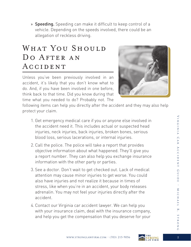» Speeding. Speeding can make it difficult to keep control of a vehicle. Depending on the speeds involved, there could be an allegation of reckless driving.

## WHAT YOU SHOULD DO AFTER AN **ACCIDENT**

Unless you've been previously involved in an accident, it's likely that you don't know what to do. And, if you have been involved in one before, think back to that time. Did you know during that time what you needed to do? Probably not. The



following items can help you directly after the accident and they may also help protect your claim.

- 1. Get emergency medical care if you or anyone else involved in the accident need it. This includes actual or suspected head injuries, neck injuries, back injuries, broken bones, serious blood loss, serious lacerations, or internal injuries.
- 2. Call the police. The police will take a report that provides objective information about what happened. They'll give you a report number. They can also help you exchange insurance information with the other party or parties.
- 3. See a doctor. Don't wait to get checked out. Lack of medical attention may cause minor injuries to get worse. You could also have injuries and not realize it because in times of stress, like when you're in an accident, your body releases adrenalin. You may not feel your injuries directly after the accident.
- 4. Contact our Virginia car accident lawyer. We can help you with your insurance claim, deal with the insurance company, and help you get the compensation that you deserve for your



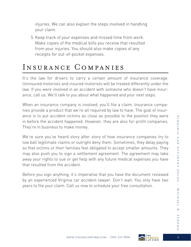injuries. We can also explain the steps involved in handling your claim.

5. Keep track of your expenses and missed time from work. Make copies of the medical bills you receive that resulted from your injuries. You should also make copies of any receipts for out-of-pocket expenses.

## Insurance Companies

It's the law for drivers to carry a certain amount of insurance coverage. Uninsured motorists and insured motorists will be treated differently under the law. If you were involved in an accident with someone who doesn't have insurance, call us. We'll talk to you about what happened and your next steps.

When an insurance company is involved, you'll file a claim. Insurance companies provide a product that we're all required by law to have. The goal of insurance is to put accident victims as close as possible to the position they were in before the accident happened. However, they are also for-profit companies. They're in business to make money.

We're sure you've heard story after story of how insurance companies try to low ball legitimate claims or outright deny them. Sometimes, they delay paying so that victims or their families feel obligated to accept smaller amounts. They may also push you to sign a settlement agreement. The agreement may take away your rights to sue or get help with any future medical expenses you have that resulted from the accident.

Before you sign anything, it's imperative that you have the document reviewed by an experienced Virginia car accident lawyer. Don't wait. You only have two years to file your claim. Call us now to schedule your free consultation.

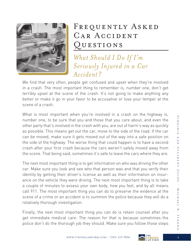

# FREQUENTLY ASKED CAR ACCIDENT QUESTIONS

*What Should I Do If I'm Seriously Injured in a Car Accident?*

We find that very often, people get confused and upset when they're involved in a crash. The most important thing to remember is, number one, don't get terribly upset at the scene of the crash. It's not going to make anything any better or make it go in your favor to be accusative or lose your temper at the scene of a crash.

What is most important when you're involved in a crash on the highway is, number one, to be sure that you and those that you care about, and even the other party that's involved in the crash with you, are out of harm's way as quickly as possible. This means get out the car, move to the side of the road. If the car can be moved, make sure it gets moved out of the way into a safe position on the side of the highway. The worse thing that could happen is to have a second crash after your first crash because the cars weren't safely moved away from the scene. That being said, sometimes it's safe to leave the cars where they are.

The next most important thing is to get information on who was driving the other car. Make sure you look and see who that person was and that you verify their identity by getting their driver's license as well as their information on insurance on the vehicle they were driving. The next most important thing is to take a couple of minutes to assess your own body, how you feel, and by all means call 911. The most important thing you can do to preserve the evidence at the scene of a crime or an accident is to summon the police because they will do a relatively thorough investigation.

Finally, the next most important thing you can do is retain counsel after you get immediate medical care. The reason for that is because sometimes the police don't do the thorough job they should. Make sure you follow those steps

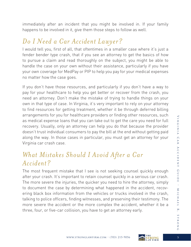immediately after an incident that you might be involved in. If your family happens to be involved in it, give them those steps to follow as well.

#### *Do I Need a Car Accident Lawyer?*

I would tell you, first of all, that oftentimes in a smaller case where it's just a fender bender type crash, that if you see an attorney to get the basics of how to pursue a claim and read thoroughly on the subject, you might be able to handle the case on your own without their assistance, particularly if you have your own coverage for MedPay or PIP to help you pay for your medical expenses no matter how the case goes.

If you don't have those resources, and particularly if you don't have a way to pay for your healthcare to help you get better or recover from the crash, you need an attorney. Don't make the mistake of trying to handle things on your own in that type of case. In Virginia, it's very important to rely on your attorney to find resources for getting treatment, whether it be through deferred billing arrangements for you for healthcare providers or finding other resources, such as medical expense loans that you can take out to get the care you need for full recovery. Usually, only an attorney can help you do that because the provider doesn't trust individual consumers to pay the bill at the end without getting paid along the way. In those cases in particular, you must get an attorney for your Virginia car crash case.

#### *What Mistakes Should I Avoid After a Car Accident?*

The most frequent mistake that I see is not seeking counsel quickly enough after your crash. It's important to retain counsel quickly in a serious car crash. The more severe the injuries, the quicker you need to hire the attorney, simply to document the case by determining what happened in the accident, recovering black box information from the vehicles or trucks involved in the crash, talking to police officers, finding witnesses, and preserving their testimony. The more severe the accident or the more complex the accident, whether it be a three, four, or five-car collision, you have to get an attorney early.

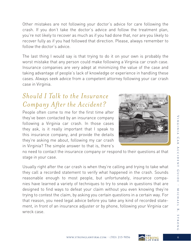Other mistakes are not following your doctor's advice for care following the crash. If you don't take the doctor's advice and follow the treatment plan, you're not likely to recover as much as if you had done that, nor are you likely to recover fully as if you had followed that direction. Please, always remember to follow the doctor's advice.

The last thing I would say is that trying to do it on your own is probably the worst mistake that any person could make following a Virginia car crash case. Insurance companies are very adept at minimizing the value of the case and taking advantage of people's lack of knowledge or experience in handling these cases. Always seek advice from a competent attorney following your car crash case in Virginia.

### *Should I Talk to the Insurance Company After the Accident?*

People often come to me for the first time after they've been contacted by an insurance company following a Virginia car crash. In those cases they ask, is it really important that I speak to this insurance company, and provide the details they're asking me about, following my car crash in Virginia? The simple answer to that is, there's



no need to contact the insurance company or respond to their questions at that stage in your case.

Usually right after the car crash is when they're calling and trying to take what they call a recorded statement to verify what happened in the crash. Sounds reasonable enough to most people, but unfortunately, insurance companies have learned a variety of techniques to try to sneak in questions that are designed to find ways to defeat your claim without you even knowing they're trying to contest the claim, by asking you certain questions in a certain way. For that reason, you need legal advice before you take any kind of recorded statement, in front of an insurance adjuster or by phone, following your Virginia car wreck case.

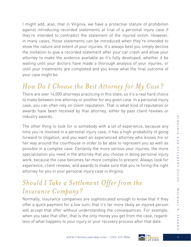I might add, also, that in Virginia, we have a protective statute of prohibition against introducing recorded statements at trial of a personal injury case if they're intended to contradict the statement of the injured victim. However, in many cases, those statements can be introduced when they're intended to show the nature and extent of your injuries. It's always best you simply decline the invitation to give a recorded statement after your car crash and allow your attorney to make the evidence available as it's fully developed, whether it be waiting until your doctors have made a thorough analysis of your injuries, or until your treatments are completed and you know what the final outcome of your case might be.

# *How Do I Choose the Best Attorney for My Case?*

There are over 14,000 attorneys practicing in this state, so it's a real hard choice to make between one attorney or another for any given case. In a personal injury case, you can often rely on client reputation. That is what kind of reputation or awards have been received by that attorney, either by past client reviews or industry awards.

The other thing to look for is somebody with a lot of experience, because any time you're involved in a personal injury case, it has a high-probability of going forward to litigation, and you want an experienced attorney who knows his or her way around the courthouse in order to be able to represent you as well as possible in a complex case. Certainly the more serious your injuries, the more specialization you need in the attorney that you choose in doing personal injury work, because the case becomes far more complex to present. Always look for experience, client reviews, and awards to make sure that you're hiring the right attorney for you in your personal injury case in Virginia.

## *Should I Take a Settlement Offer from the Insurance Company?*

Normally, insurance companies are sophisticated enough to know that if they offer a quick payment for a low sum, that it's far more likely an injured person will accept that offer without understanding the consequences. For example, when you take that offer, that is the only money you get from the case, regardless of what happens to your injury or your recovery process after that date.

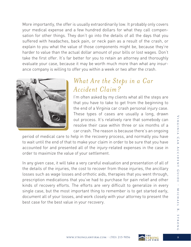More importantly, the offer is usually extraordinarily low. It probably only covers your medical expense and a few hundred dollars for what they call compensation for other things. They don't go into the details of all the days that you suffered with headaches, back pain, or neck pain as a result of the crash, or explain to you what the value of those components might be, because they're harder to value than the actual dollar amount of your bills or lost wages. Don't take the first offer. It's far better for you to retain an attorney and thoroughly evaluate your case, because it may be worth much more than what any insurance company is willing to offer you within a week or two after the crash.



#### *What Are the Steps in a Car Accident Claim?*

I'm often asked by my clients what all the steps are that you have to take to get from the beginning to the end of a Virginia car crash personal injury case. These types of cases are usually a long, drawn out process. It's relatively rare that somebody can resolve their case within three or six months of a car crash. The reason is because there's an ongoing

period of medical care to help in the recovery process, and normally you have to wait until the end of that to make your claim in order to be sure that you have accounted for and presented all of the injury-related expenses in the case in order to maximize the value of your settlement.

In any given case, it will take a very careful evaluation and presentation of all of the details of the injuries, the cost to recover from those injuries, the ancillary losses such as wage losses and orthotic aids, therapies that you went through, prescription medications that you've had to purchase for pain relief and other kinds of recovery efforts. The efforts are very difficult to generalize in every single case, but the most important thing to remember is to get started early, document all of your losses, and work closely with your attorney to present the best case for the best value in your recovery.

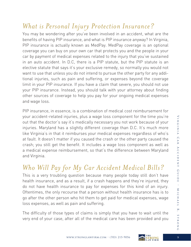## *What is Personal Injury Protection Insurance?*

You may be wondering after you've been involved in an accident, what are the benefits of having PIP insurance, and what is PIP insurance anyway? In Virginia, PIP insurance is actually known as MedPay. MedPay coverage is an optional coverage you can buy on your own car that protects you and the people in your car by payment of medical expenses related to the injury that you've sustained in an auto accident. In D.C, there is a PIP statute, but the PIP statute is an elective statute that says it's your exclusive remedy, so normally you would not want to use that unless you do not intend to pursue the other party for any additional injuries, such as pain and suffering, or expenses beyond the coverage limit in your PIP insurance. If you have a claim that severe, you should not use your PIP insurance. Instead, you should talk with your attorney about finding other sources of coverage to help you pay for your ongoing medical expenses and wage loss.

PIP insurance, in essence, is a combination of medical cost reimbursement for your accident-related injuries, plus a wage loss component for the time you're out that the doctor's say it's medically necessary you not work because of your injuries. Maryland has a slightly different coverage than D.C. It's much more like Virginia's in that it reimburses your medical expenses regardless of who's at fault. It doesn't matter if you caused the crash or the other party caused the crash; you still get the benefit. It includes a wage loss component as well as a medical expense reimbursement, so that's the difference between Maryland and Virginia.

## *Who Will Pay for My Car Accident Medical Bills?*

This is a very troubling question because many people today still don't have health insurance, and as a result, if a crash happens and they're injured, they do not have health insurance to pay for expenses for this kind of an injury. Oftentimes, the only recourse that a person without health insurance has is to go after the other person who hit them to get paid for medical expenses, wage loss expenses, as well as pain and suffering.

The difficulty of those types of claims is simply that you have to wait until the very end of your case, after all of the medical care has been provided and you

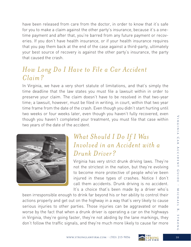have been released from care from the doctor, in order to know that it's safe for you to make a claim against the other party's insurance, because it's a onetime payment and after that, you're barred from any future payment or recoveries. If you don't have health insurance, or if your health insurance requires that you pay them back at the end of the case against a third-party, ultimately your best source of recovery is against the other party's insurance, the party that caused the crash.

#### *How Long Do I Have to File a Car Accident Claim?*

In Virginia, we have a very short statute of limitations, and that's simply the time deadline that the law states you must file a lawsuit within in order to preserve your claim. The claim doesn't have to be resolved in that two-year time; a lawsuit, however, must be filed in writing, in court, within that two year time frame from the date of the crash. Even though you didn't start hurting until two weeks or four weeks later, even though you haven't fully recovered, even though you haven't completed your treatment, you must file that case within two years of the date of the accident.



### *What Should I Do If I Was Involved in an Accident with a Drunk Driver?*

Virginia has very strict drunk driving laws. They're not the strictest in the nation, but they're evolving to become more protective of people who've been injured in these types of crashes. Notice I don't call them accidents. Drunk driving is no accident. It's a choice that's been made by a driver who's

been irresponsible enough to drink far beyond his or her ability to control their actions properly and get out on the highway in a way that's very likely to cause serious injuries to other parties. Those injuries can be aggravated or made worse by the fact that when a drunk driver is operating a car on the highways in Virginia, they're going faster, they're not abiding by the lane markings, they don't follow the traffic signals, and they're much more likely to cause far more

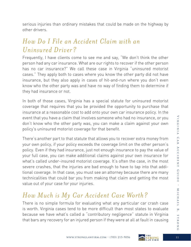serious injuries than ordinary mistakes that could be made on the highway by other drivers.

### *How Do I File an Accident Claim with an Uninsured Driver?*

Frequently, I have clients come to see me and say, "We don't think the other person had any car insurance. What are our rights to recover if the other person has no car insurance?" We call these case in Virginia "uninsured motorist cases." They apply both to cases where you know the other party did not have insurance, but they also apply in cases of hit-and-run where you don't even know who the other party was and have no way of finding them to determine if they had insurance or not.

In both of those cases, Virginia has a special statute for uninsured motorist coverage that requires that you be provided the opportunity to purchase that insurance at a reasonable cost to add onto your own car insurance policy. In the event that you have a claim that involves someone who had no insurance, or you don't know who the other party was, you can make a claim against your own policy's uninsured motorist coverage for that benefit.

There's another part to that statute that allows you to recover extra money from your own policy, if your policy exceeds the coverage limit on the other person's policy. Even if they had insurance, just not enough insurance to pay the value of your full case, you can make additional claims against your own insurance for what's called under-insured motorist coverage. It's often the case, in the most severe crashes, that the injuries are bad enough to have to tap into that additional coverage. In that case, you must see an attorney because there are many technicalities that could bar you from making that claim and getting the most value out of your case for your injuries.

## *How Much is My Car Accident Case Worth?*

There is no simple formula for evaluating what any particular car crash case is worth. Virginia cases tend to be more difficult than most states to evaluate because we have what's called a "contributory negligence" statute in Virginia that bars any recovery for an injured person if they were at all at fault in causing

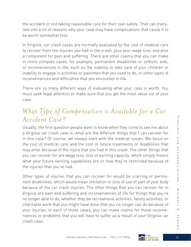the accident or not taking reasonable care for their own safety. That can translate into a lot of reasons why your case may have complications that cause it to be worth somewhat less.

In Virginia, car crash cases are normally evaluated by the cost of medical care to recover from the injuries you had in the crash, plus your wage loss, and plus a component for pain and suffering. There are other claims that you can make in more complex cases, for example, permanent disabilities or orthotic aids, or inconveniences in life, such as the inability to take care of your children or inability to engage in activities or pastimes that you used to do, or other types of inconveniences and difficulties that you encounter in life.

There are so many different ways of evaluating what your case is worth. You must seek legal attention to make sure that you get the most value out of your case.

### *What Type of Compensation is Available for a Car Accident Case?*

Usually, the first question people want to know when they come to see me about a Virginia car crash case is, what are the different things that I can recover for in this case? Of course, we always start with the medical issues. We focus on the cost of medical care and the cost of future treatments or disabilities that may arise because of the injury that you had in this crash. The other things that you can recover for are wage loss, loss of earning capacity, which simply means what your future earning capabilities are or how they're restricted because of the injuries that you've had.

Other types of injuries that you can recover for would be scarring or permanent disabilities, which would mean limitation or loss of use of part of your body because of the car crash injuries. The other things that you can recover for in Virginia are pain and suffering and inconveniences of life for things that you're no longer able to do, whether they be recreational activities, family activities, or charitable work that you might have done that you no longer can do because of your injuries. In each of those cases, you can make claims for those inconveniences or problems that you will have to suffer as a result of your Virginia car crash case.

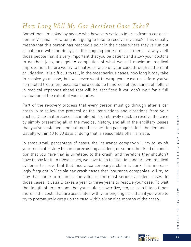## *How Long Will My Car Accident Case Take?*

Sometimes I'm asked by people who have very serious injuries from a car accident in Virginia, "How long is it going to take to resolve my case?" This usually means that this person has reached a point in their case where they've run out of patience with the delays or the ongoing course of treatment. I always tell those people that it's very important that you be patient and allow your doctors to do their jobs, and get to completion of what we call maximum medical improvement before we try to finalize or wrap up your case through settlement or litigation. It is difficult to tell, in the most serious cases, how long it may take to resolve your case, but we never want to wrap your case up before you've completed treatment because there could be hundreds of thousands of dollars in medical expenses ahead that will be sacrificed if you don't wait for a full evaluation of the extent of your injuries.

Part of the recovery process that every person must go through after a car crash is to follow the protocol or the instructions and directions from your doctor. Once that process is completed, it's relatively quick to resolve the case by simply presenting all of the medical history, and all of the ancillary losses that you've sustained, and put together a written package called "the demand." Usually within 60 to 90 days of doing that, a reasonable offer is made.

In some small percentage of cases, the insurance company will try to lay off your medical history to some preexisting accident, or some other kind of condition that you have that is unrelated to the crash, and therefore they shouldn't have to pay for it. In those cases, we have to go to litigation and present medical evidence to prove that that insurance company's claim is bunk. It is increasingly frequent in Virginia car crash cases that insurance companies will try to play that game to minimize the value of the most serious accident cases. In those cases, it usually takes a year to three years to resolve your case. To wait that length of time means that you could recover five, ten, or even fifteen times more in the costs that are associated with your ongoing care than if you were to try to prematurely wrap up the case within six or nine months of the crash.



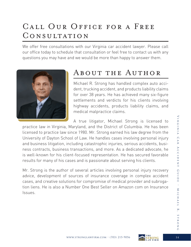# Call Our Office for a Free Consultation

We offer free consultations with our Virginia car accident lawyer. Please call our office today to schedule that consultation or feel free to contact us with any questions you may have and we would be more than happy to answer them.



# ABOUT THE AUTHOR

Michael R. Strong has handled complex auto accident, trucking accident, and products liability claims for over 38 years. He has achieved many six-figure settlements and verdicts for his clients involving highway accidents, products liability claims, and medical malpractice claims.

A true litigator, Michael Strong is licensed to practice law in Virginia, Maryland, and the District of Columbia. He has been licensed to practice law since 1980. Mr. Strong earned his law degree from the University of Dayton School of Law. He handles cases involving personal injury and business litigation, including catastrophic injuries, serious accidents, business contracts, business transactions, and more. As a dedicated advocate, he is well-known for his client-focused representation. He has secured favorable results for many of his cases and is passionate about serving his clients.

Mr. Strong is the author of several articles involving personal injury recovery advice, development of sources of insurance coverage in complex accident cases, and creative solutions for compromise of medical provider and subrogation liens. He is also a Number One Best Seller on Amazon com on Insurance Issues.